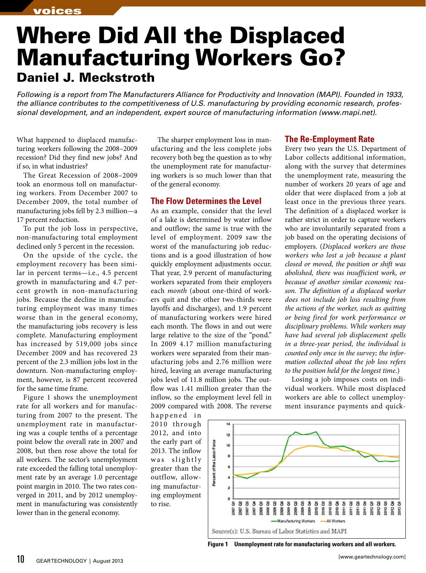## Where Did All the Displaced Manufacturing Workers Go? Daniel J. Meckstroth

*Following is a report from The Manufacturers Alliance for Productivity and Innovation (MAPI). Founded in 1933, the alliance contributes to the competitiveness of U.S. manufacturing by providing economic research, professional development, and an independent, expert source of manufacturing information (www.mapi.net).*

What happened to displaced manufacturing workers following the 2008–2009 recession? Did they find new jobs? And if so, in what industries?

The Great Recession of 2008–2009 took an enormous toll on manufacturing workers. From December 2007 to December 2009, the total number of manufacturing jobs fell by 2.3 million—a 17 percent reduction.

To put the job loss in perspective, non-manufacturing total employment declined only 5 percent in the recession.

On the upside of the cycle, the employment recovery has been similar in percent terms—i.e., 4.5 percent growth in manufacturing and 4.7 percent growth in non-manufacturing jobs. Because the decline in manufacturing employment was many times worse than in the general economy, the manufacturing jobs recovery is less complete. Manufacturing employment has increased by 519,000 jobs since December 2009 and has recovered 23 percent of the 2.3 million jobs lost in the downturn. Non-manufacturing employment, however, is 87 percent recovered for the same time frame.

Figure 1 shows the unemployment rate for all workers and for manufacturing from 2007 to the present. The unemployment rate in manufacturing was a couple tenths of a percentage point below the overall rate in 2007 and 2008, but then rose above the total for all workers. The sector's unemployment rate exceeded the falling total unemployment rate by an average 1.0 percentage point margin in 2010. The two rates converged in 2011, and by 2012 unemployment in manufacturing was consistently lower than in the general economy.

The sharper employment loss in manufacturing and the less complete jobs recovery both beg the question as to why the unemployment rate for manufacturing workers is so much lower than that of the general economy.

## **The Flow Determines the Level**

As an example, consider that the level of a lake is determined by water inflow and outflow; the same is true with the level of employment. 2009 saw the worst of the manufacturing job reductions and is a good illustration of how quickly employment adjustments occur. That year, 2.9 percent of manufacturing workers separated from their employers each *month* (about one-third of workers quit and the other two-thirds were layoffs and discharges), and 1.9 percent of manufacturing workers were hired each month. The flows in and out were large relative to the size of the "pond." In 2009 4.17 million manufacturing workers were separated from their manufacturing jobs and 2.76 million were hired, leaving an average manufacturing jobs level of 11.8 million jobs. The outflow was 1.41 million greater than the inflow, so the employment level fell in 2009 compared with 2008. The reverse

happened in 2010 through 2012, and into the early part of 2013. The inflow was slightly greater than the outflow, allowing manufacturing employment to rise.



Every two years the U.S. Department of Labor collects additional information, along with the survey that determines the unemployment rate, measuring the number of workers 20 years of age and older that were displaced from a job at least once in the previous three years. The definition of a displaced worker is rather strict in order to capture workers who are involuntarily separated from a job based on the operating decisions of employers. (*Displaced workers are those workers who lost a job because a plant closed or moved, the position or shift was abolished, there was insufficient work, or because of another similar economic reason. The definition of a displaced worker does not include job loss resulting from the actions of the worker, such as quitting or being fired for work performance or disciplinary problems. While workers may have had several job displacement spells in a three-year period, the individual is counted only once in the survey; the information collected about the job loss refers to the position held for the longest time*.)

Losing a job imposes costs on individual workers. While most displaced workers are able to collect unemployment insurance payments and quick-



**Figure 1 Unemployment rate for manufacturing workers and all workers.**